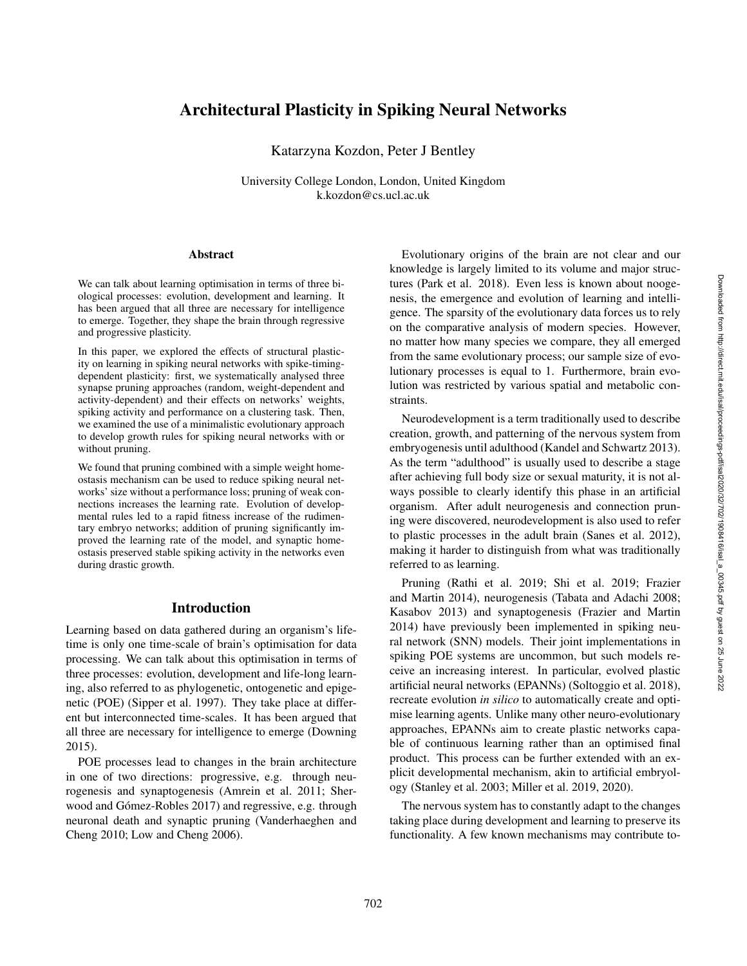# Architectural Plasticity in Spiking Neural Networks

Katarzyna Kozdon, Peter J Bentley

University College London, London, United Kingdom k.kozdon@cs.ucl.ac.uk

#### Abstract

We can talk about learning optimisation in terms of three biological processes: evolution, development and learning. It has been argued that all three are necessary for intelligence to emerge. Together, they shape the brain through regressive and progressive plasticity.

In this paper, we explored the effects of structural plasticity on learning in spiking neural networks with spike-timingdependent plasticity: first, we systematically analysed three synapse pruning approaches (random, weight-dependent and activity-dependent) and their effects on networks' weights, spiking activity and performance on a clustering task. Then, we examined the use of a minimalistic evolutionary approach to develop growth rules for spiking neural networks with or without pruning.

We found that pruning combined with a simple weight homeostasis mechanism can be used to reduce spiking neural networks' size without a performance loss; pruning of weak connections increases the learning rate. Evolution of developmental rules led to a rapid fitness increase of the rudimentary embryo networks; addition of pruning significantly improved the learning rate of the model, and synaptic homeostasis preserved stable spiking activity in the networks even during drastic growth.

#### Introduction

Learning based on data gathered during an organism's lifetime is only one time-scale of brain's optimisation for data processing. We can talk about this optimisation in terms of three processes: evolution, development and life-long learning, also referred to as phylogenetic, ontogenetic and epigenetic (POE) (Sipper et al. 1997). They take place at different but interconnected time-scales. It has been argued that all three are necessary for intelligence to emerge (Downing 2015).

POE processes lead to changes in the brain architecture in one of two directions: progressive, e.g. through neurogenesis and synaptogenesis (Amrein et al. 2011; Sherwood and Gómez-Robles 2017) and regressive, e.g. through neuronal death and synaptic pruning (Vanderhaeghen and Cheng 2010; Low and Cheng 2006).

Evolutionary origins of the brain are not clear and our knowledge is largely limited to its volume and major structures (Park et al. 2018). Even less is known about noogenesis, the emergence and evolution of learning and intelligence. The sparsity of the evolutionary data forces us to rely on the comparative analysis of modern species. However, no matter how many species we compare, they all emerged from the same evolutionary process; our sample size of evolutionary processes is equal to 1. Furthermore, brain evolution was restricted by various spatial and metabolic constraints.

Neurodevelopment is a term traditionally used to describe creation, growth, and patterning of the nervous system from embryogenesis until adulthood (Kandel and Schwartz 2013). As the term "adulthood" is usually used to describe a stage after achieving full body size or sexual maturity, it is not always possible to clearly identify this phase in an artificial organism. After adult neurogenesis and connection pruning were discovered, neurodevelopment is also used to refer to plastic processes in the adult brain (Sanes et al. 2012), making it harder to distinguish from what was traditionally referred to as learning.

Pruning (Rathi et al. 2019; Shi et al. 2019; Frazier and Martin 2014), neurogenesis (Tabata and Adachi 2008; Kasabov 2013) and synaptogenesis (Frazier and Martin 2014) have previously been implemented in spiking neural network (SNN) models. Their joint implementations in spiking POE systems are uncommon, but such models receive an increasing interest. In particular, evolved plastic artificial neural networks (EPANNs) (Soltoggio et al. 2018), recreate evolution *in silico* to automatically create and optimise learning agents. Unlike many other neuro-evolutionary approaches, EPANNs aim to create plastic networks capable of continuous learning rather than an optimised final product. This process can be further extended with an explicit developmental mechanism, akin to artificial embryology (Stanley et al. 2003; Miller et al. 2019, 2020).

The nervous system has to constantly adapt to the changes taking place during development and learning to preserve its functionality. A few known mechanisms may contribute to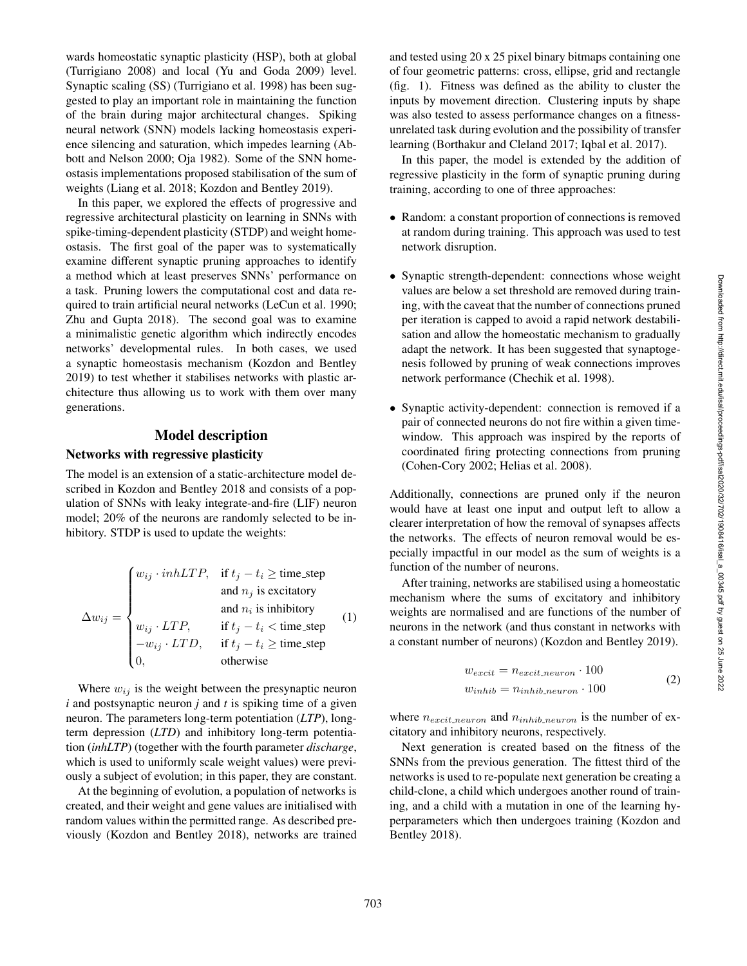wards homeostatic synaptic plasticity (HSP), both at global (Turrigiano 2008) and local (Yu and Goda 2009) level. Synaptic scaling (SS) (Turrigiano et al. 1998) has been suggested to play an important role in maintaining the function of the brain during major architectural changes. Spiking neural network (SNN) models lacking homeostasis experience silencing and saturation, which impedes learning (Abbott and Nelson 2000; Oja 1982). Some of the SNN homeostasis implementations proposed stabilisation of the sum of weights (Liang et al. 2018; Kozdon and Bentley 2019).

In this paper, we explored the effects of progressive and regressive architectural plasticity on learning in SNNs with spike-timing-dependent plasticity (STDP) and weight homeostasis. The first goal of the paper was to systematically examine different synaptic pruning approaches to identify a method which at least preserves SNNs' performance on a task. Pruning lowers the computational cost and data required to train artificial neural networks (LeCun et al. 1990; Zhu and Gupta 2018). The second goal was to examine a minimalistic genetic algorithm which indirectly encodes networks' developmental rules. In both cases, we used a synaptic homeostasis mechanism (Kozdon and Bentley 2019) to test whether it stabilises networks with plastic architecture thus allowing us to work with them over many generations.

## Model description

#### Networks with regressive plasticity

The model is an extension of a static-architecture model described in Kozdon and Bentley 2018 and consists of a population of SNNs with leaky integrate-and-fire (LIF) neuron model; 20% of the neurons are randomly selected to be inhibitory. STDP is used to update the weights:

|                                                                                                                                                                           | $\int w_{ij} \cdot inhLTP$ , if $t_j - t_i \geq$ time_step |                  |
|---------------------------------------------------------------------------------------------------------------------------------------------------------------------------|------------------------------------------------------------|------------------|
| $\Delta w_{ij} = \begin{cases} w_{ij} \cdot LTP, & \text{if } t_j - t_i < \text{time-step} \\ -w_{ij} \cdot LTD, & \text{if } t_j - t_i \ge \text{time-step} \end{cases}$ | and $n_i$ is excitatory                                    |                  |
|                                                                                                                                                                           | and $n_i$ is inhibitory                                    | $\left(1\right)$ |
|                                                                                                                                                                           |                                                            |                  |
|                                                                                                                                                                           |                                                            |                  |
|                                                                                                                                                                           | otherwise                                                  |                  |

Where  $w_{ij}$  is the weight between the presynaptic neuron *i* and postsynaptic neuron *j* and *t* is spiking time of a given neuron. The parameters long-term potentiation (*LTP*), longterm depression (*LTD*) and inhibitory long-term potentiation (*inhLTP*) (together with the fourth parameter *discharge*, which is used to uniformly scale weight values) were previously a subject of evolution; in this paper, they are constant.

At the beginning of evolution, a population of networks is created, and their weight and gene values are initialised with random values within the permitted range. As described previously (Kozdon and Bentley 2018), networks are trained and tested using 20 x 25 pixel binary bitmaps containing one of four geometric patterns: cross, ellipse, grid and rectangle (fig. 1). Fitness was defined as the ability to cluster the inputs by movement direction. Clustering inputs by shape was also tested to assess performance changes on a fitnessunrelated task during evolution and the possibility of transfer learning (Borthakur and Cleland 2017; Iqbal et al. 2017).

In this paper, the model is extended by the addition of regressive plasticity in the form of synaptic pruning during training, according to one of three approaches:

- Random: a constant proportion of connections is removed at random during training. This approach was used to test network disruption.
- Synaptic strength-dependent: connections whose weight values are below a set threshold are removed during training, with the caveat that the number of connections pruned per iteration is capped to avoid a rapid network destabilisation and allow the homeostatic mechanism to gradually adapt the network. It has been suggested that synaptogenesis followed by pruning of weak connections improves network performance (Chechik et al. 1998).
- Synaptic activity-dependent: connection is removed if a pair of connected neurons do not fire within a given timewindow. This approach was inspired by the reports of coordinated firing protecting connections from pruning (Cohen-Cory 2002; Helias et al. 2008).

Additionally, connections are pruned only if the neuron would have at least one input and output left to allow a clearer interpretation of how the removal of synapses affects the networks. The effects of neuron removal would be especially impactful in our model as the sum of weights is a function of the number of neurons.

After training, networks are stabilised using a homeostatic mechanism where the sums of excitatory and inhibitory weights are normalised and are functions of the number of neurons in the network (and thus constant in networks with a constant number of neurons) (Kozdon and Bentley 2019).

$$
w_{excit} = n_{excit.neuron} \cdot 100
$$
  
\n
$$
w_{inhib} = n_{inhib.neuron} \cdot 100
$$
 (2)

where  $n_{excit\_neuron}$  and  $n_{inhib\_neuron}$  is the number of excitatory and inhibitory neurons, respectively.

Next generation is created based on the fitness of the SNNs from the previous generation. The fittest third of the networks is used to re-populate next generation be creating a child-clone, a child which undergoes another round of training, and a child with a mutation in one of the learning hyperparameters which then undergoes training (Kozdon and Bentley 2018).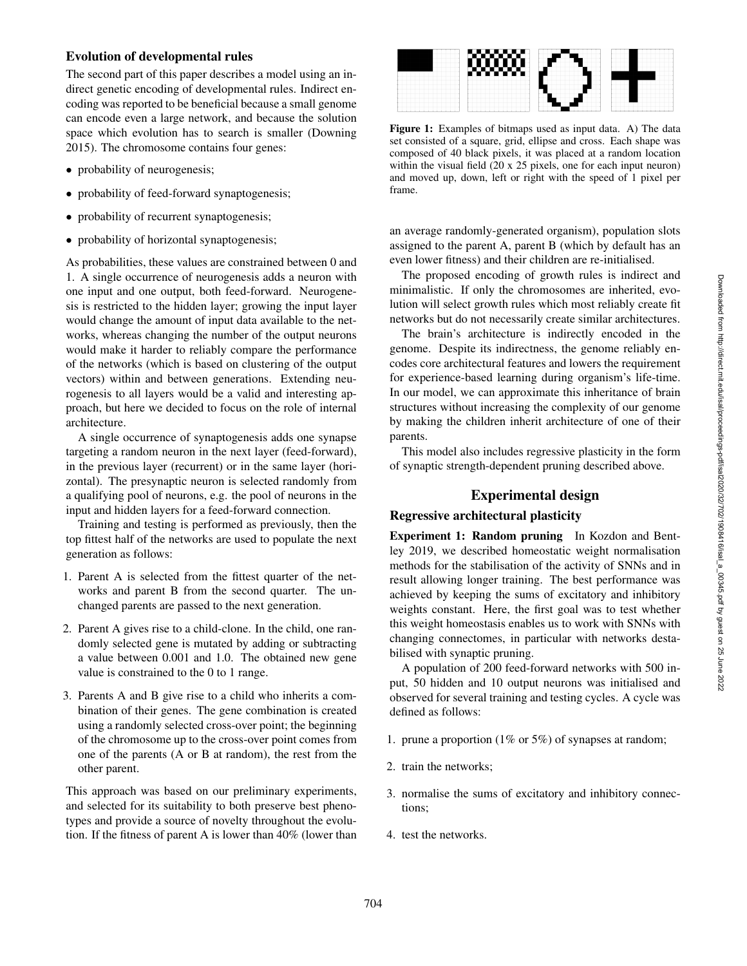## Evolution of developmental rules

The second part of this paper describes a model using an indirect genetic encoding of developmental rules. Indirect encoding was reported to be beneficial because a small genome can encode even a large network, and because the solution space which evolution has to search is smaller (Downing 2015). The chromosome contains four genes:

- probability of neurogenesis;
- probability of feed-forward synaptogenesis;
- probability of recurrent synaptogenesis;
- probability of horizontal synaptogenesis;

As probabilities, these values are constrained between 0 and 1. A single occurrence of neurogenesis adds a neuron with one input and one output, both feed-forward. Neurogenesis is restricted to the hidden layer; growing the input layer would change the amount of input data available to the networks, whereas changing the number of the output neurons would make it harder to reliably compare the performance of the networks (which is based on clustering of the output vectors) within and between generations. Extending neurogenesis to all layers would be a valid and interesting approach, but here we decided to focus on the role of internal architecture.

A single occurrence of synaptogenesis adds one synapse targeting a random neuron in the next layer (feed-forward), in the previous layer (recurrent) or in the same layer (horizontal). The presynaptic neuron is selected randomly from a qualifying pool of neurons, e.g. the pool of neurons in the input and hidden layers for a feed-forward connection.

Training and testing is performed as previously, then the top fittest half of the networks are used to populate the next generation as follows:

- 1. Parent A is selected from the fittest quarter of the networks and parent B from the second quarter. The unchanged parents are passed to the next generation.
- 2. Parent A gives rise to a child-clone. In the child, one randomly selected gene is mutated by adding or subtracting a value between 0.001 and 1.0. The obtained new gene value is constrained to the 0 to 1 range.
- 3. Parents A and B give rise to a child who inherits a combination of their genes. The gene combination is created using a randomly selected cross-over point; the beginning of the chromosome up to the cross-over point comes from one of the parents (A or B at random), the rest from the other parent.

This approach was based on our preliminary experiments, and selected for its suitability to both preserve best phenotypes and provide a source of novelty throughout the evolution. If the fitness of parent A is lower than 40% (lower than



Figure 1: Examples of bitmaps used as input data. A) The data set consisted of a square, grid, ellipse and cross. Each shape was composed of 40 black pixels, it was placed at a random location within the visual field (20 x 25 pixels, one for each input neuron) and moved up, down, left or right with the speed of 1 pixel per frame.

an average randomly-generated organism), population slots assigned to the parent A, parent B (which by default has an even lower fitness) and their children are re-initialised.

The proposed encoding of growth rules is indirect and minimalistic. If only the chromosomes are inherited, evolution will select growth rules which most reliably create fit networks but do not necessarily create similar architectures.

The brain's architecture is indirectly encoded in the genome. Despite its indirectness, the genome reliably encodes core architectural features and lowers the requirement for experience-based learning during organism's life-time. In our model, we can approximate this inheritance of brain structures without increasing the complexity of our genome by making the children inherit architecture of one of their parents.

This model also includes regressive plasticity in the form of synaptic strength-dependent pruning described above.

## Experimental design

### Regressive architectural plasticity

Experiment 1: Random pruning In Kozdon and Bentley 2019, we described homeostatic weight normalisation methods for the stabilisation of the activity of SNNs and in result allowing longer training. The best performance was achieved by keeping the sums of excitatory and inhibitory weights constant. Here, the first goal was to test whether this weight homeostasis enables us to work with SNNs with changing connectomes, in particular with networks destabilised with synaptic pruning.

A population of 200 feed-forward networks with 500 input, 50 hidden and 10 output neurons was initialised and observed for several training and testing cycles. A cycle was defined as follows:

- 1. prune a proportion (1% or 5%) of synapses at random;
- 2. train the networks;
- 3. normalise the sums of excitatory and inhibitory connections;
- 4. test the networks.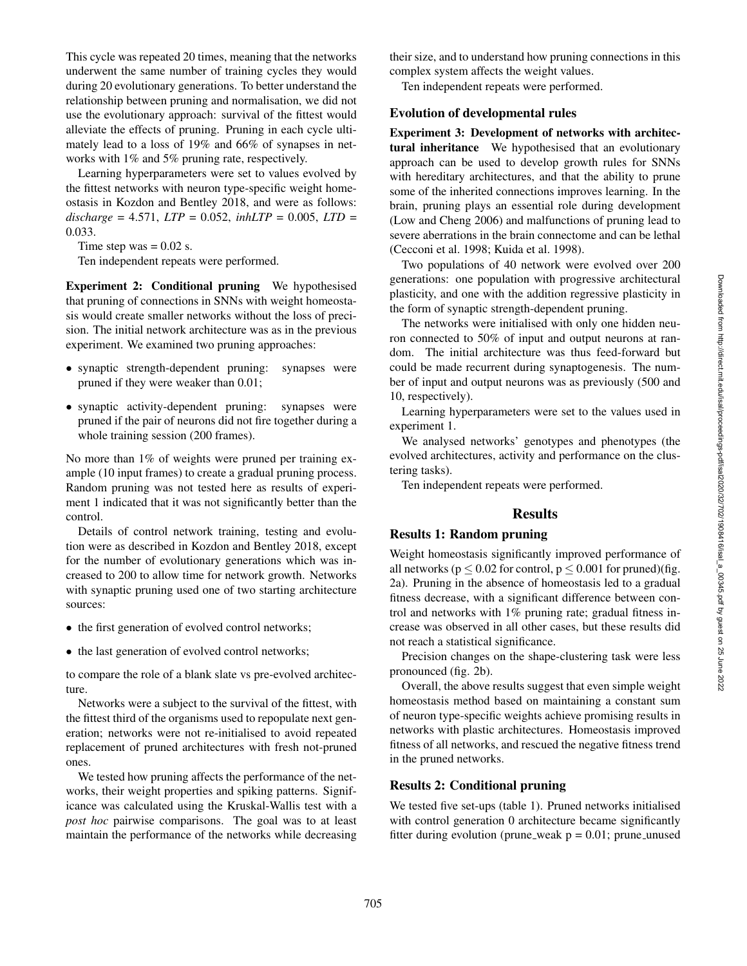This cycle was repeated 20 times, meaning that the networks underwent the same number of training cycles they would during 20 evolutionary generations. To better understand the relationship between pruning and normalisation, we did not use the evolutionary approach: survival of the fittest would alleviate the effects of pruning. Pruning in each cycle ultimately lead to a loss of 19% and 66% of synapses in networks with 1% and 5% pruning rate, respectively.

Learning hyperparameters were set to values evolved by the fittest networks with neuron type-specific weight homeostasis in Kozdon and Bentley 2018, and were as follows: *discharge* = 4.571, *LTP* = 0.052, *inhLTP* = 0.005, *LTD* = 0.033.

Time step was  $= 0.02$  s.

Ten independent repeats were performed.

Experiment 2: Conditional pruning We hypothesised that pruning of connections in SNNs with weight homeostasis would create smaller networks without the loss of precision. The initial network architecture was as in the previous experiment. We examined two pruning approaches:

- synaptic strength-dependent pruning: synapses were pruned if they were weaker than 0.01;
- synaptic activity-dependent pruning: synapses were pruned if the pair of neurons did not fire together during a whole training session (200 frames).

No more than 1% of weights were pruned per training example (10 input frames) to create a gradual pruning process. Random pruning was not tested here as results of experiment 1 indicated that it was not significantly better than the control.

Details of control network training, testing and evolution were as described in Kozdon and Bentley 2018, except for the number of evolutionary generations which was increased to 200 to allow time for network growth. Networks with synaptic pruning used one of two starting architecture sources:

- the first generation of evolved control networks;
- the last generation of evolved control networks;

to compare the role of a blank slate vs pre-evolved architecture.

Networks were a subject to the survival of the fittest, with the fittest third of the organisms used to repopulate next generation; networks were not re-initialised to avoid repeated replacement of pruned architectures with fresh not-pruned ones.

We tested how pruning affects the performance of the networks, their weight properties and spiking patterns. Significance was calculated using the Kruskal-Wallis test with a *post hoc* pairwise comparisons. The goal was to at least maintain the performance of the networks while decreasing their size, and to understand how pruning connections in this complex system affects the weight values.

Ten independent repeats were performed.

#### Evolution of developmental rules

Experiment 3: Development of networks with architectural inheritance We hypothesised that an evolutionary approach can be used to develop growth rules for SNNs with hereditary architectures, and that the ability to prune some of the inherited connections improves learning. In the brain, pruning plays an essential role during development (Low and Cheng 2006) and malfunctions of pruning lead to severe aberrations in the brain connectome and can be lethal (Cecconi et al. 1998; Kuida et al. 1998).

Two populations of 40 network were evolved over 200 generations: one population with progressive architectural plasticity, and one with the addition regressive plasticity in the form of synaptic strength-dependent pruning.

The networks were initialised with only one hidden neuron connected to 50% of input and output neurons at random. The initial architecture was thus feed-forward but could be made recurrent during synaptogenesis. The number of input and output neurons was as previously (500 and 10, respectively).

Learning hyperparameters were set to the values used in experiment 1.

We analysed networks' genotypes and phenotypes (the evolved architectures, activity and performance on the clustering tasks).

Ten independent repeats were performed.

#### Results

#### Results 1: Random pruning

Weight homeostasis significantly improved performance of all networks ( $p \le 0.02$  for control,  $p \le 0.001$  for pruned)(fig. 2a). Pruning in the absence of homeostasis led to a gradual fitness decrease, with a significant difference between control and networks with 1% pruning rate; gradual fitness increase was observed in all other cases, but these results did not reach a statistical significance.

Precision changes on the shape-clustering task were less pronounced (fig. 2b).

Overall, the above results suggest that even simple weight homeostasis method based on maintaining a constant sum of neuron type-specific weights achieve promising results in networks with plastic architectures. Homeostasis improved fitness of all networks, and rescued the negative fitness trend in the pruned networks.

### Results 2: Conditional pruning

We tested five set-ups (table 1). Pruned networks initialised with control generation 0 architecture became significantly fitter during evolution (prune\_weak  $p = 0.01$ ; prune\_unused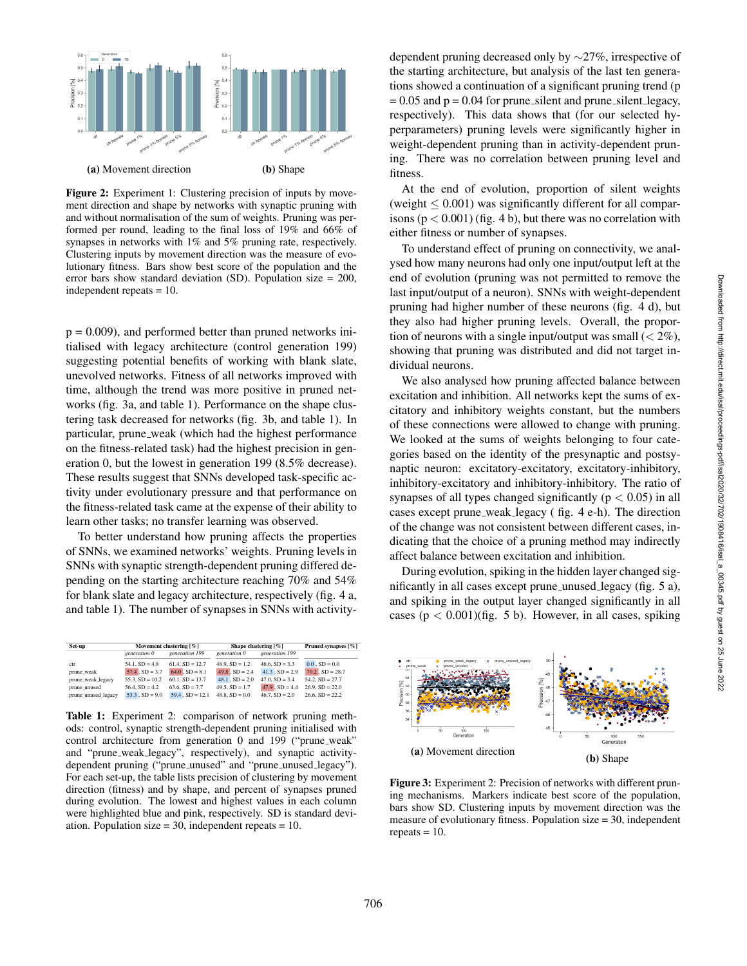

Figure 2: Experiment 1: Clustering precision of inputs by movement direction and shape by networks with synaptic pruning with and without normalisation of the sum of weights. Pruning was performed per round, leading to the final loss of 19% and 66% of synapses in networks with 1% and 5% pruning rate, respectively. Clustering inputs by movement direction was the measure of evolutionary fitness. Bars show best score of the population and the error bars show standard deviation (SD). Population size = 200, independent repeats = 10.

 $p = 0.009$ , and performed better than pruned networks initialised with legacy architecture (control generation 199) suggesting potential benefits of working with blank slate, unevolved networks. Fitness of all networks improved with time, although the trend was more positive in pruned networks (fig. 3a, and table 1). Performance on the shape clustering task decreased for networks (fig. 3b, and table 1). In particular, prune weak (which had the highest performance on the fitness-related task) had the highest precision in generation 0, but the lowest in generation 199 (8.5% decrease). These results suggest that SNNs developed task-specific activity under evolutionary pressure and that performance on the fitness-related task came at the expense of their ability to learn other tasks; no transfer learning was observed.

To better understand how pruning affects the properties of SNNs, we examined networks' weights. Pruning levels in SNNs with synaptic strength-dependent pruning differed depending on the starting architecture reaching 70% and 54% for blank slate and legacy architecture, respectively (fig. 4 a, and table 1). The number of synapses in SNNs with activity-

| Set-up              | Movement clustering [%] |                      | Shape clustering [%] |                     | Pruned synapses [%]  |
|---------------------|-------------------------|----------------------|----------------------|---------------------|----------------------|
|                     | generation 0            | generation 199       | generation 0         | generation 199      |                      |
| ctr                 | $54.1. SD = 4.8$        | $61.4. SD = 12.7$    | $48.9. SD = 1.2$     | $46.6. SD = 3.3$    | $0.0$ . SD = 0.0     |
| prune, weak         | $57.4$ , $SD = 3.7$     | $64.0$ , $SD = 8.1$  | $49.8$ , $SD = 2.4$  | $41.3$ , $SD = 2.9$ | $70.2$ , $SD = 28.7$ |
| prune_weak_legacy   | $55.3. SD = 10.2$       | $60.1$ , $SD = 13.7$ | $48.1$ , $SD = 2.0$  | $47.0. SD = 3.4$    | $54.2. SD = 27.7$    |
| prune_unused        | $56.4. SD = 4.2$        | $63.6. SD = 7.7$     | $49.5. SD = 1.7$     | $47.9$ , $SD = 4.4$ | $26.9. SD = 22.0$    |
| prune_unused_legacy | $53.3$ , $SD = 9.0$     | $59.4$ , $SD = 12.1$ | $48.8. SD = 0.0$     | $46.7. SD = 2.0$    | $26.6. SD = 22.2$    |

Table 1: Experiment 2: comparison of network pruning methods: control, synaptic strength-dependent pruning initialised with control architecture from generation 0 and 199 ("prune weak" and "prune weak legacy", respectively), and synaptic activitydependent pruning ("prune\_unused" and "prune\_unused\_legacy"). For each set-up, the table lists precision of clustering by movement direction (fitness) and by shape, and percent of synapses pruned during evolution. The lowest and highest values in each column were highlighted blue and pink, respectively. SD is standard deviation. Population size = 30, independent repeats = 10.

dependent pruning decreased only by ∼27%, irrespective of the starting architecture, but analysis of the last ten generations showed a continuation of a significant pruning trend (p  $= 0.05$  and  $p = 0.04$  for prune silent and prune silent legacy, respectively). This data shows that (for our selected hyperparameters) pruning levels were significantly higher in weight-dependent pruning than in activity-dependent pruning. There was no correlation between pruning level and fitness.

At the end of evolution, proportion of silent weights  $(weight \leq 0.001)$  was significantly different for all comparisons  $(p < 0.001)$  (fig. 4 b), but there was no correlation with either fitness or number of synapses.

To understand effect of pruning on connectivity, we analysed how many neurons had only one input/output left at the end of evolution (pruning was not permitted to remove the last input/output of a neuron). SNNs with weight-dependent pruning had higher number of these neurons (fig. 4 d), but they also had higher pruning levels. Overall, the proportion of neurons with a single input/output was small  $(< 2\%)$ , showing that pruning was distributed and did not target individual neurons.

We also analysed how pruning affected balance between excitation and inhibition. All networks kept the sums of excitatory and inhibitory weights constant, but the numbers of these connections were allowed to change with pruning. We looked at the sums of weights belonging to four categories based on the identity of the presynaptic and postsynaptic neuron: excitatory-excitatory, excitatory-inhibitory, inhibitory-excitatory and inhibitory-inhibitory. The ratio of synapses of all types changed significantly ( $p < 0.05$ ) in all cases except prune weak legacy ( fig. 4 e-h). The direction of the change was not consistent between different cases, indicating that the choice of a pruning method may indirectly affect balance between excitation and inhibition.

During evolution, spiking in the hidden layer changed significantly in all cases except prune unused legacy (fig. 5 a), and spiking in the output layer changed significantly in all cases  $(p < 0.001)$ (fig. 5 b). However, in all cases, spiking



Figure 3: Experiment 2: Precision of networks with different pruning mechanisms. Markers indicate best score of the population, bars show SD. Clustering inputs by movement direction was the measure of evolutionary fitness. Population size = 30, independent repeats  $= 10$ .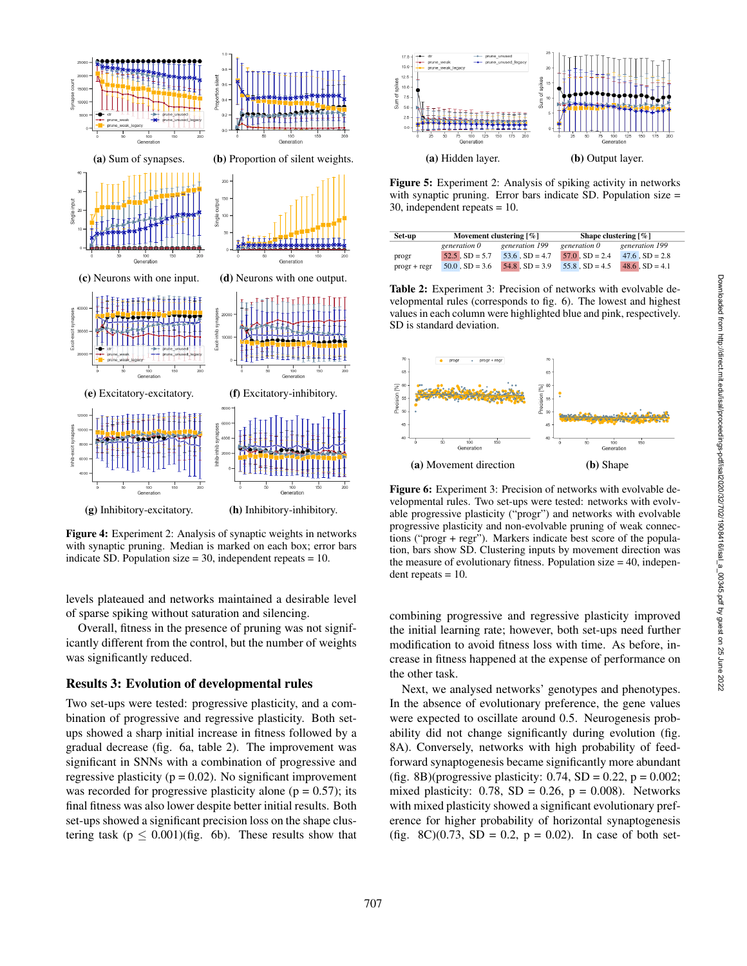

Figure 4: Experiment 2: Analysis of synaptic weights in networks with synaptic pruning. Median is marked on each box; error bars indicate SD. Population size  $= 30$ , independent repeats  $= 10$ .

levels plateaued and networks maintained a desirable level of sparse spiking without saturation and silencing.

Overall, fitness in the presence of pruning was not significantly different from the control, but the number of weights was significantly reduced.

#### Results 3: Evolution of developmental rules

Two set-ups were tested: progressive plasticity, and a combination of progressive and regressive plasticity. Both setups showed a sharp initial increase in fitness followed by a gradual decrease (fig. 6a, table 2). The improvement was significant in SNNs with a combination of progressive and regressive plasticity ( $p = 0.02$ ). No significant improvement was recorded for progressive plasticity alone ( $p = 0.57$ ); its final fitness was also lower despite better initial results. Both set-ups showed a significant precision loss on the shape clustering task ( $p \leq 0.001$ )(fig. 6b). These results show that



Figure 5: Experiment 2: Analysis of spiking activity in networks with synaptic pruning. Error bars indicate SD. Population size = 30, independent repeats = 10.

| Set-up         |                     | Movement clustering $\lceil \% \rceil$ | Shape clustering $\lceil \% \rceil$ |                     |  |
|----------------|---------------------|----------------------------------------|-------------------------------------|---------------------|--|
|                | generation 0        | generation 199                         | generation 0                        | generation 199      |  |
| progr          | $52.5$ , $SD = 5.7$ | $53.6$ , $SD = 4.7$                    | $57.0$ , $SD = 2.4$                 | $47.6$ , $SD = 2.8$ |  |
| $progr + regr$ | $50.0$ , $SD = 3.6$ | $54.8$ , $SD = 3.9$                    | $55.8$ , $SD = 4.5$                 | $48.6$ , $SD = 4.1$ |  |

Table 2: Experiment 3: Precision of networks with evolvable developmental rules (corresponds to fig. 6). The lowest and highest values in each column were highlighted blue and pink, respectively. SD is standard deviation.



Figure 6: Experiment 3: Precision of networks with evolvable developmental rules. Two set-ups were tested: networks with evolvable progressive plasticity ("progr") and networks with evolvable progressive plasticity and non-evolvable pruning of weak connections ("progr + regr"). Markers indicate best score of the population, bars show SD. Clustering inputs by movement direction was the measure of evolutionary fitness. Population size  $= 40$ , indepen $d$ ent repeats = 10.

combining progressive and regressive plasticity improved the initial learning rate; however, both set-ups need further modification to avoid fitness loss with time. As before, increase in fitness happened at the expense of performance on the other task.

Next, we analysed networks' genotypes and phenotypes. In the absence of evolutionary preference, the gene values were expected to oscillate around 0.5. Neurogenesis probability did not change significantly during evolution (fig. 8A). Conversely, networks with high probability of feedforward synaptogenesis became significantly more abundant (fig. 8B)(progressive plasticity:  $0.74$ , SD =  $0.22$ , p =  $0.002$ ; mixed plasticity:  $0.78$ , SD = 0.26, p = 0.008). Networks with mixed plasticity showed a significant evolutionary preference for higher probability of horizontal synaptogenesis (fig. 8C)(0.73, SD = 0.2,  $p = 0.02$ ). In case of both set-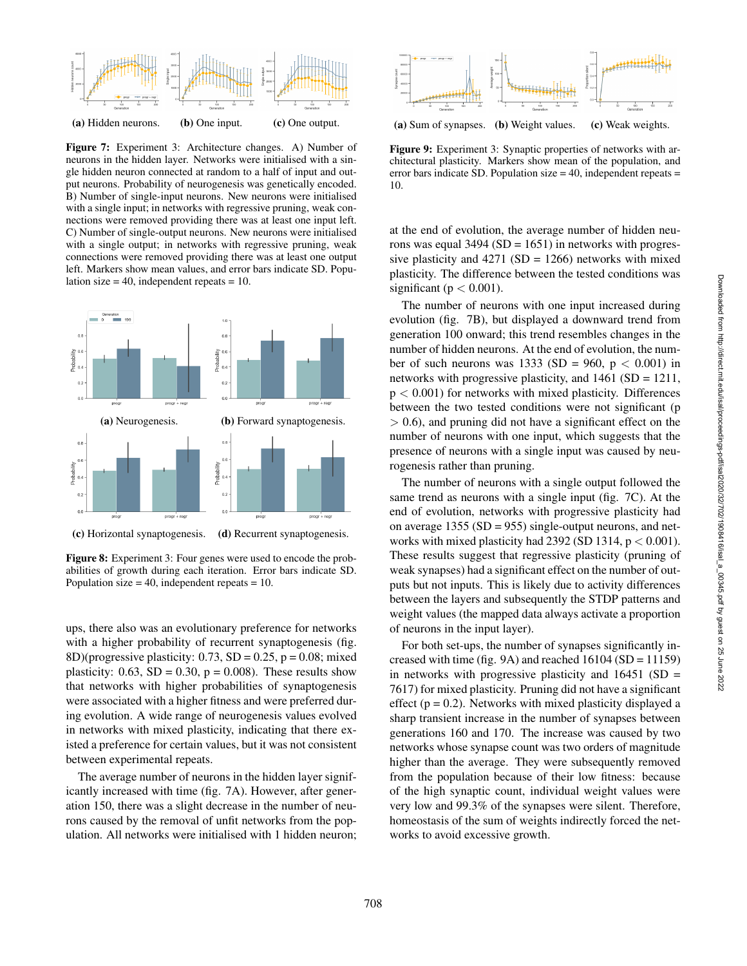

Figure 7: Experiment 3: Architecture changes. A) Number of neurons in the hidden layer. Networks were initialised with a single hidden neuron connected at random to a half of input and output neurons. Probability of neurogenesis was genetically encoded. B) Number of single-input neurons. New neurons were initialised with a single input; in networks with regressive pruning, weak connections were removed providing there was at least one input left. C) Number of single-output neurons. New neurons were initialised with a single output; in networks with regressive pruning, weak connections were removed providing there was at least one output left. Markers show mean values, and error bars indicate SD. Population size  $= 40$ , independent repeats  $= 10$ .



(c) Horizontal synaptogenesis. (d) Recurrent synaptogenesis.

Figure 8: Experiment 3: Four genes were used to encode the probabilities of growth during each iteration. Error bars indicate SD. Population size  $= 40$ , independent repeats  $= 10$ .

ups, there also was an evolutionary preference for networks with a higher probability of recurrent synaptogenesis (fig. 8D)(progressive plasticity:  $0.73$ , SD =  $0.25$ , p =  $0.08$ ; mixed plasticity:  $0.63$ , SD =  $0.30$ , p =  $0.008$ ). These results show that networks with higher probabilities of synaptogenesis were associated with a higher fitness and were preferred during evolution. A wide range of neurogenesis values evolved in networks with mixed plasticity, indicating that there existed a preference for certain values, but it was not consistent between experimental repeats.

The average number of neurons in the hidden layer significantly increased with time (fig. 7A). However, after generation 150, there was a slight decrease in the number of neurons caused by the removal of unfit networks from the population. All networks were initialised with 1 hidden neuron;



Figure 9: Experiment 3: Synaptic properties of networks with architectural plasticity. Markers show mean of the population, and error bars indicate SD. Population size  $= 40$ , independent repeats  $=$ 10.

at the end of evolution, the average number of hidden neurons was equal  $3494$  (SD = 1651) in networks with progressive plasticity and  $4271$  (SD = 1266) networks with mixed plasticity. The difference between the tested conditions was significant ( $p < 0.001$ ).

The number of neurons with one input increased during evolution (fig. 7B), but displayed a downward trend from generation 100 onward; this trend resembles changes in the number of hidden neurons. At the end of evolution, the number of such neurons was 1333 (SD = 960,  $p < 0.001$ ) in networks with progressive plasticity, and 1461 (SD = 1211,  $p < 0.001$ ) for networks with mixed plasticity. Differences between the two tested conditions were not significant (p > 0.6), and pruning did not have a significant effect on the number of neurons with one input, which suggests that the presence of neurons with a single input was caused by neurogenesis rather than pruning.

The number of neurons with a single output followed the same trend as neurons with a single input (fig. 7C). At the end of evolution, networks with progressive plasticity had on average 1355 (SD =  $955$ ) single-output neurons, and networks with mixed plasticity had 2392 (SD 1314,  $p < 0.001$ ). These results suggest that regressive plasticity (pruning of weak synapses) had a significant effect on the number of outputs but not inputs. This is likely due to activity differences between the layers and subsequently the STDP patterns and weight values (the mapped data always activate a proportion of neurons in the input layer).

For both set-ups, the number of synapses significantly increased with time (fig. 9A) and reached  $16104$  (SD =  $11159$ ) in networks with progressive plasticity and  $16451$  (SD = 7617) for mixed plasticity. Pruning did not have a significant effect ( $p = 0.2$ ). Networks with mixed plasticity displayed a sharp transient increase in the number of synapses between generations 160 and 170. The increase was caused by two networks whose synapse count was two orders of magnitude higher than the average. They were subsequently removed from the population because of their low fitness: because of the high synaptic count, individual weight values were very low and 99.3% of the synapses were silent. Therefore, homeostasis of the sum of weights indirectly forced the networks to avoid excessive growth.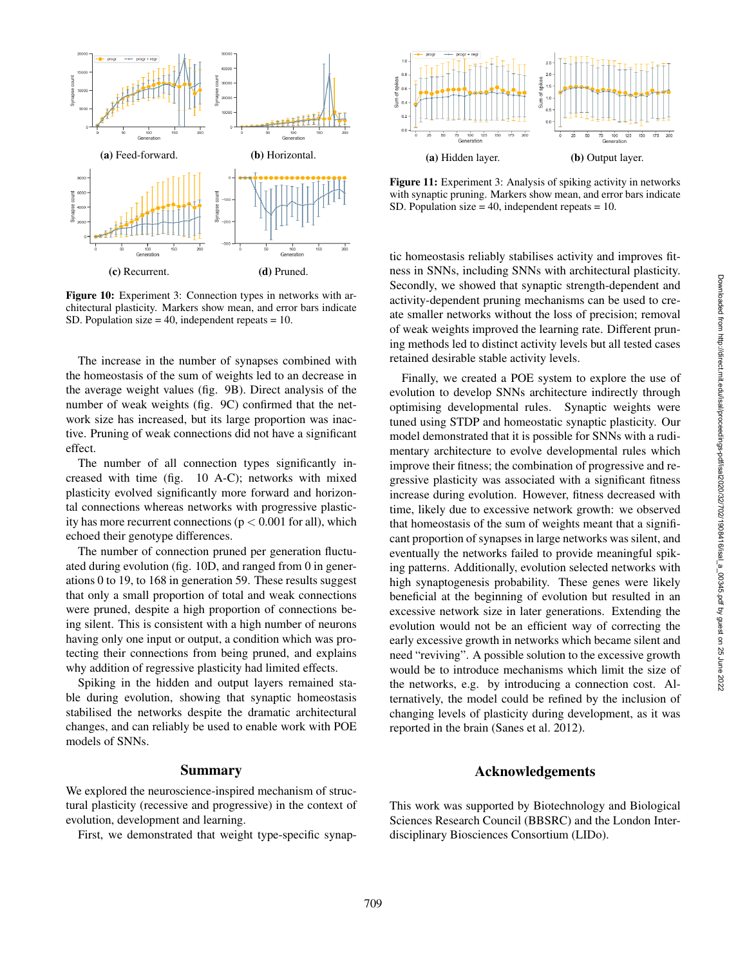

Figure 10: Experiment 3: Connection types in networks with architectural plasticity. Markers show mean, and error bars indicate SD. Population size  $= 40$ , independent repeats  $= 10$ .

The increase in the number of synapses combined with the homeostasis of the sum of weights led to an decrease in the average weight values (fig. 9B). Direct analysis of the number of weak weights (fig. 9C) confirmed that the network size has increased, but its large proportion was inactive. Pruning of weak connections did not have a significant effect.

The number of all connection types significantly increased with time (fig. 10 A-C); networks with mixed plasticity evolved significantly more forward and horizontal connections whereas networks with progressive plasticity has more recurrent connections ( $p < 0.001$  for all), which echoed their genotype differences.

The number of connection pruned per generation fluctuated during evolution (fig. 10D, and ranged from 0 in generations 0 to 19, to 168 in generation 59. These results suggest that only a small proportion of total and weak connections were pruned, despite a high proportion of connections being silent. This is consistent with a high number of neurons having only one input or output, a condition which was protecting their connections from being pruned, and explains why addition of regressive plasticity had limited effects.

Spiking in the hidden and output layers remained stable during evolution, showing that synaptic homeostasis stabilised the networks despite the dramatic architectural changes, and can reliably be used to enable work with POE models of SNNs.

#### Summary

We explored the neuroscience-inspired mechanism of structural plasticity (recessive and progressive) in the context of evolution, development and learning.

First, we demonstrated that weight type-specific synap-



Figure 11: Experiment 3: Analysis of spiking activity in networks with synaptic pruning. Markers show mean, and error bars indicate SD. Population size  $= 40$ , independent repeats  $= 10$ .

tic homeostasis reliably stabilises activity and improves fitness in SNNs, including SNNs with architectural plasticity. Secondly, we showed that synaptic strength-dependent and activity-dependent pruning mechanisms can be used to create smaller networks without the loss of precision; removal of weak weights improved the learning rate. Different pruning methods led to distinct activity levels but all tested cases retained desirable stable activity levels.

Finally, we created a POE system to explore the use of evolution to develop SNNs architecture indirectly through optimising developmental rules. Synaptic weights were tuned using STDP and homeostatic synaptic plasticity. Our model demonstrated that it is possible for SNNs with a rudimentary architecture to evolve developmental rules which improve their fitness; the combination of progressive and regressive plasticity was associated with a significant fitness increase during evolution. However, fitness decreased with time, likely due to excessive network growth: we observed that homeostasis of the sum of weights meant that a significant proportion of synapses in large networks was silent, and eventually the networks failed to provide meaningful spiking patterns. Additionally, evolution selected networks with high synaptogenesis probability. These genes were likely beneficial at the beginning of evolution but resulted in an excessive network size in later generations. Extending the evolution would not be an efficient way of correcting the early excessive growth in networks which became silent and need "reviving". A possible solution to the excessive growth would be to introduce mechanisms which limit the size of the networks, e.g. by introducing a connection cost. Alternatively, the model could be refined by the inclusion of changing levels of plasticity during development, as it was reported in the brain (Sanes et al. 2012).

#### Acknowledgements

This work was supported by Biotechnology and Biological Sciences Research Council (BBSRC) and the London Interdisciplinary Biosciences Consortium (LIDo).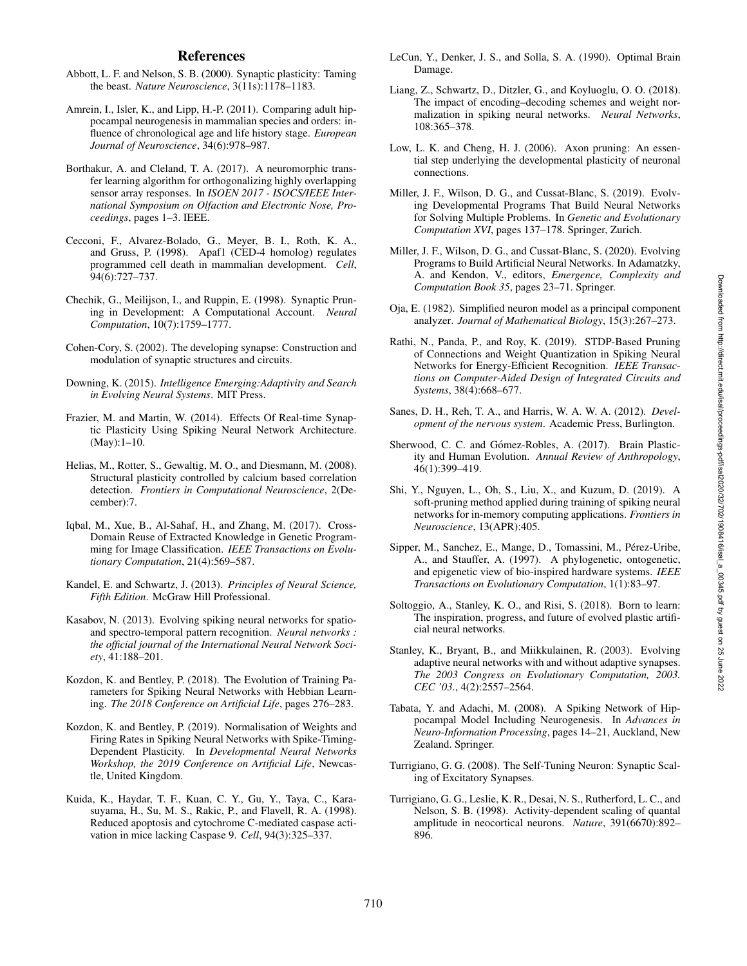#### References

- Abbott, L. F. and Nelson, S. B. (2000). Synaptic plasticity: Taming the beast. *Nature Neuroscience*, 3(11s):1178–1183.
- Amrein, I., Isler, K., and Lipp, H.-P. (2011). Comparing adult hippocampal neurogenesis in mammalian species and orders: influence of chronological age and life history stage. *European Journal of Neuroscience*, 34(6):978–987.
- Borthakur, A. and Cleland, T. A. (2017). A neuromorphic transfer learning algorithm for orthogonalizing highly overlapping sensor array responses. In *ISOEN 2017 - ISOCS/IEEE International Symposium on Olfaction and Electronic Nose, Proceedings*, pages 1–3. IEEE.
- Cecconi, F., Alvarez-Bolado, G., Meyer, B. I., Roth, K. A., and Gruss, P. (1998). Apaf1 (CED-4 homolog) regulates programmed cell death in mammalian development. *Cell* , 94(6):727–737.
- Chechik, G., Meilijson, I., and Ruppin, E. (1998). Synaptic Pruning in Development: A Computational Account. *Neural Computation*, 10(7):1759–1777.
- Cohen-Cory, S. (2002). The developing synapse: Construction and modulation of synaptic structures and circuits.
- Downing, K. (2015). *Intelligence Emerging:Adaptivity and Search in Evolving Neural Systems*. MIT Press.
- Frazier, M. and Martin, W. (2014). Effects Of Real-time Synaptic Plasticity Using Spiking Neural Network Architecture. (May):1–10.
- Helias, M., Rotter, S., Gewaltig, M. O., and Diesmann, M. (2008). Structural plasticity controlled by calcium based correlation detection. *Frontiers in Computational Neuroscience*, 2(December):7.
- Iqbal, M., Xue, B., Al-Sahaf, H., and Zhang, M. (2017). Cross-Domain Reuse of Extracted Knowledge in Genetic Programming for Image Classification. *IEEE Transactions on Evolutionary Computation*, 21(4):569–587.
- Kandel, E. and Schwartz, J. (2013). *Principles of Neural Science, Fifth Edition*. McGraw Hill Professional.
- Kasabov, N. (2013). Evolving spiking neural networks for spatioand spectro-temporal pattern recognition. *Neural networks : the official journal of the International Neural Network Society*, 41:188–201.
- Kozdon, K. and Bentley, P. (2018). The Evolution of Training Parameters for Spiking Neural Networks with Hebbian Learning. *The 2018 Conference on Artificial Life*, pages 276–283.
- Kozdon, K. and Bentley, P. (2019). Normalisation of Weights and Firing Rates in Spiking Neural Networks with Spike-Timing-Dependent Plasticity. In *Developmental Neural Networks Workshop, the 2019 Conference on Artificial Life*, Newcastle, United Kingdom.
- Kuida, K., Haydar, T. F., Kuan, C. Y., Gu, Y., Taya, C., Karasuyama, H., Su, M. S., Rakic, P., and Flavell, R. A. (1998). Reduced apoptosis and cytochrome C-mediated caspase activation in mice lacking Caspase 9. *Cell*, 94(3):325–337.
- LeCun, Y., Denker, J. S., and Solla, S. A. (1990). Optimal Brain Damage.
- Liang, Z., Schwartz, D., Ditzler, G., and Koyluoglu, O. O. (2018). The impact of encoding–decoding schemes and weight normalization in spiking neural networks. *Neural Networks*, 108:365–378.
- Low, L. K. and Cheng, H. J. (2006). Axon pruning: An essential step underlying the developmental plasticity of neuronal connections.
- Miller, J. F., Wilson, D. G., and Cussat-Blanc, S. (2019). Evolving Developmental Programs That Build Neural Networks for Solving Multiple Problems. In *Genetic and Evolutionary Computation XVI*, pages 137–178. Springer, Zurich.
- Miller, J. F., Wilson, D. G., and Cussat-Blanc, S. (2020). Evolving Programs to Build Artificial Neural Networks. In Adamatzky, A. and Kendon, V., editors, *Emergence, Complexity and Computation Book 35*, pages 23–71. Springer.
- Oja, E. (1982). Simplified neuron model as a principal component analyzer. *Journal of Mathematical Biology*, 15(3):267–273.
- Rathi, N., Panda, P., and Roy, K. (2019). STDP-Based Pruning of Connections and Weight Quantization in Spiking Neural Networks for Energy-Efficient Recognition. *IEEE Transactions on Computer-Aided Design of Integrated Circuits and Systems*, 38(4):668–677.
- Sanes, D. H., Reh, T. A., and Harris, W. A. W. A. (2012). *Development of the nervous system*. Academic Press, Burlington.
- Sherwood, C. C. and Gómez-Robles, A. (2017). Brain Plasticity and Human Evolution. *Annual Review of Anthropology* , 46(1):399–419.
- Shi, Y., Nguyen, L., Oh, S., Liu, X., and Kuzum, D. (2019). A soft-pruning method applied during training of spiking neural networks for in-memory computing applications. *Frontiers in Neuroscience*, 13(APR):405.
- Sipper, M., Sanchez, E., Mange, D., Tomassini, M., Pérez-Uribe, A., and Stauffer, A. (1997). A phylogenetic, ontogenetic, and epigenetic view of bio-inspired hardware systems. *IEEE Transactions on Evolutionary Computation*, 1(1):83–97.
- Soltoggio, A., Stanley, K. O., and Risi, S. (2018). Born to learn: The inspiration, progress, and future of evolved plastic artificial neural networks.
- Stanley, K., Bryant, B., and Miikkulainen, R. (2003). Evolving adaptive neural networks with and without adaptive synapses. *The 2003 Congress on Evolutionary Computation, 2003. CEC '03.*, 4(2):2557–2564.
- Tabata, Y. and Adachi, M. (2008). A Spiking Network of Hippocampal Model Including Neurogenesis. In *Advances in Neuro-Information Processing*, pages 14–21, Auckland, New Zealand. Springer.
- Turrigiano, G. G. (2008). The Self-Tuning Neuron: Synaptic Scaling of Excitatory Synapses.
- Turrigiano, G. G., Leslie, K. R., Desai, N. S., Rutherford, L. C., and Nelson, S. B. (1998). Activity-dependent scaling of quantal amplitude in neocortical neurons. *Nature*, 391(6670):892– 896.